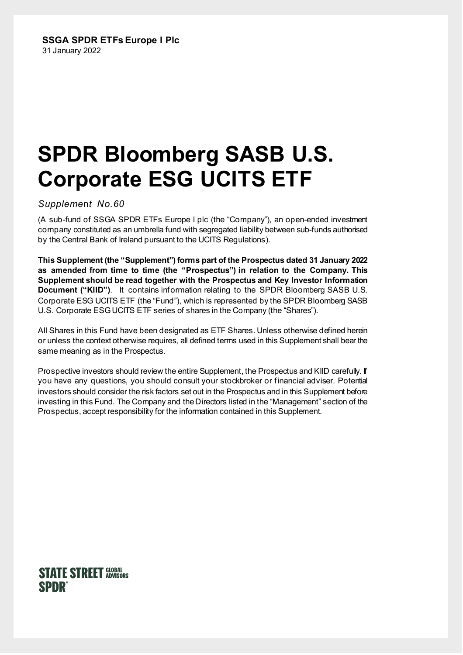# **SPDR Bloomberg SASB U.S. Corporate ESG UCITS ETF**

## *Suppleme*n*t No.60*

(A sub-fund of SSGA SPDR ETFs Europe I plc (the "Company"), an open-ended investment company constituted as an umbrella fund with segregated liability between sub-funds authorised by the Central Bank of Ireland pursuant to the UCITS Regulations).

**This Supplement (the "Supplement") forms part of the Prospectus dated 31 January 2022 as amended from time to time (the "Prospectus") in relation to the Company. This Supplement should be read together with the Prospectus and Key Investor Information Document ("KIID")**. It contains information relating to the SPDR Bloomberg SASB U.S. Corporate ESG UCITS ETF (the "Fund"), which is represented by the SPDR Bloomberg SASB U.S. Corporate ESG UCITS ETF series of shares in the Company (the "Shares").

All Shares in this Fund have been designated as ETF Shares. Unless otherwise defined herein or unless the context otherwise requires, all defined terms used in this Supplement shall bear the same meaning as in the Prospectus.

Prospective investors should review the entire Supplement, the Prospectus and KIID carefully. If you have any questions, you should consult your stockbroker or financial adviser. Potential investors should consider the risk factors set out in the Prospectus and in this Supplement before investing in this Fund. The Company and the Directors listed in the "Management" section of the Prospectus, accept responsibility for the information contained in this Supplement.

# **STATE STREET GLOBAL SPDR**®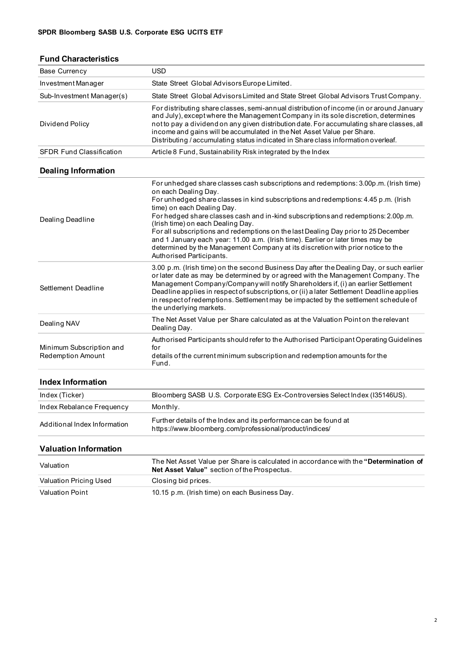## **Fund Characteristics**

| <b>Base Currency</b>                          | <b>USD</b>                                                                                                                                                                                                                                                                                                                                                                                                                                                                                                                                                                                                                                         |  |  |  |  |  |
|-----------------------------------------------|----------------------------------------------------------------------------------------------------------------------------------------------------------------------------------------------------------------------------------------------------------------------------------------------------------------------------------------------------------------------------------------------------------------------------------------------------------------------------------------------------------------------------------------------------------------------------------------------------------------------------------------------------|--|--|--|--|--|
| Investment Manager                            | State Street Global Advisors Europe Limited.                                                                                                                                                                                                                                                                                                                                                                                                                                                                                                                                                                                                       |  |  |  |  |  |
| Sub-Investment Manager(s)                     | State Street Global Advisors Limited and State Street Global Advisors Trust Company.                                                                                                                                                                                                                                                                                                                                                                                                                                                                                                                                                               |  |  |  |  |  |
| Dividend Policy                               | For distributing share classes, semi-annual distribution of income (in or around January<br>and July), except where the Management Company in its sole discretion, determines<br>not to pay a dividend on any given distribution date. For accumulating share classes, all<br>income and gains will be accumulated in the Net Asset Value per Share.<br>Distributing / accumulating status indicated in Share class information overleaf.                                                                                                                                                                                                          |  |  |  |  |  |
| <b>SFDR Fund Classification</b>               | Article 8 Fund, Sustainability Risk integrated by the Index                                                                                                                                                                                                                                                                                                                                                                                                                                                                                                                                                                                        |  |  |  |  |  |
| <b>Dealing Information</b>                    |                                                                                                                                                                                                                                                                                                                                                                                                                                                                                                                                                                                                                                                    |  |  |  |  |  |
| Dealing Deadline                              | For unhedged share classes cash subscriptions and redemptions: 3.00p.m. (Irish time)<br>on each Dealing Day.<br>For unhedged share classes in kind subscriptions and redemptions: 4.45 p.m. (Irish<br>time) on each Dealing Day.<br>For hedged share classes cash and in-kind subscriptions and redemptions: 2.00p.m.<br>(Irish time) on each Dealing Day.<br>For all subscriptions and redemptions on the last Dealing Day prior to 25 December<br>and 1 January each year: 11.00 a.m. (Irish time). Earlier or later times may be<br>determined by the Management Company at its discretion with prior notice to the<br>Authorised Participants. |  |  |  |  |  |
| Settlement Deadline                           | 3.00 p.m. (Irish time) on the second Business Day after the Dealing Day, or such earlier<br>or later date as may be determined by or agreed with the Management Company. The<br>Management Company/Company will notify Shareholders if, (i) an earlier Settlement<br>Deadline applies in respect of subscriptions, or (ii) a later Settlement Deadline applies<br>in respect of redemptions. Settlement may be impacted by the settlement schedule of<br>the underlying markets.                                                                                                                                                                   |  |  |  |  |  |
| Dealing NAV                                   | The Net Asset Value per Share calculated as at the Valuation Point on the relevant<br>Dealing Day.                                                                                                                                                                                                                                                                                                                                                                                                                                                                                                                                                 |  |  |  |  |  |
| Minimum Subscription and<br>Redemption Amount | Authorised Participants should refer to the Authorised Participant Operating Guidelines<br>for<br>details of the current minimum subscription and redemption amounts for the<br>Fund.                                                                                                                                                                                                                                                                                                                                                                                                                                                              |  |  |  |  |  |
| <b>Index Information</b>                      |                                                                                                                                                                                                                                                                                                                                                                                                                                                                                                                                                                                                                                                    |  |  |  |  |  |
| Index (Ticker)                                | Bloomberg SASB U.S. Corporate ESG Ex-Controversies Select Index (I35146US).                                                                                                                                                                                                                                                                                                                                                                                                                                                                                                                                                                        |  |  |  |  |  |
| Index Rebalance Frequency                     | Monthly.                                                                                                                                                                                                                                                                                                                                                                                                                                                                                                                                                                                                                                           |  |  |  |  |  |
| Additional Index Information                  | Further details of the Index and its performance can be found at<br>https://www.bloomberg.com/professional/product/indices/                                                                                                                                                                                                                                                                                                                                                                                                                                                                                                                        |  |  |  |  |  |

## **Valuation Information**

| Valuation              | The Net Asset Value per Share is calculated in accordance with the "Determination of<br><b>Net Asset Value</b> " section of the Prospectus. |
|------------------------|---------------------------------------------------------------------------------------------------------------------------------------------|
| Valuation Pricing Used | Closing bid prices.                                                                                                                         |
| Valuation Point        | 10.15 p.m. (Irish time) on each Business Day.                                                                                               |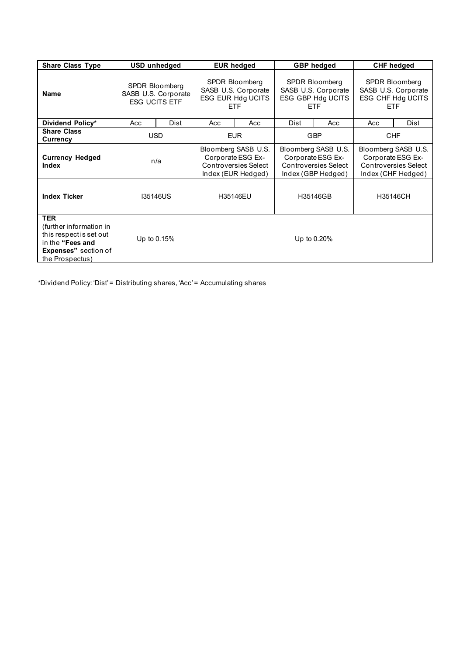| <b>Share Class Type</b>                                                                                                                 | USD unhedged                                                  |      | <b>EUR hedged</b>                                                                             |     | <b>GBP</b> hedged                                                                             |     | <b>CHF hedged</b>                                                                             |      |
|-----------------------------------------------------------------------------------------------------------------------------------------|---------------------------------------------------------------|------|-----------------------------------------------------------------------------------------------|-----|-----------------------------------------------------------------------------------------------|-----|-----------------------------------------------------------------------------------------------|------|
| <b>Name</b>                                                                                                                             | SPDR Bloomberg<br>SASB U.S. Corporate<br><b>ESG UCITS ETF</b> |      | SPDR Bloomberg<br>SASB U.S. Corporate<br>ESG EUR Hdg UCITS<br>ETF.                            |     | SPDR Bloomberg<br>SASB U.S. Corporate<br>ESG GBP Hdg UCITS<br><b>ETF</b>                      |     | <b>SPDR Bloomberg</b><br>SASB U.S. Corporate<br>ESG CHF Hdg UCITS<br>ETF.                     |      |
| Dividend Policy*                                                                                                                        | Acc                                                           | Dist | Acc                                                                                           | Acc | Dist                                                                                          | Acc | Acc                                                                                           | Dist |
| <b>Share Class</b><br>Currency                                                                                                          | <b>USD</b>                                                    |      | <b>EUR</b>                                                                                    |     | <b>GBP</b>                                                                                    |     | <b>CHF</b>                                                                                    |      |
| <b>Currency Hedged</b><br><b>Index</b>                                                                                                  | n/a                                                           |      | Bloomberg SASB U.S.<br>Corporate ESG Ex-<br><b>Controversies Select</b><br>Index (EUR Hedged) |     | Bloomberg SASB U.S.<br>Corporate ESG Ex-<br><b>Controversies Select</b><br>Index (GBP Hedged) |     | Bloomberg SASB U.S.<br>Corporate ESG Ex-<br><b>Controversies Select</b><br>Index (CHF Hedged) |      |
| <b>Index Ticker</b>                                                                                                                     | <b>I35146US</b>                                               |      | H35146EU                                                                                      |     | H35146GB                                                                                      |     | H35146CH                                                                                      |      |
| <b>TER</b><br>(further information in<br>this respect is set out<br>in the "Fees and<br><b>Expenses</b> " section of<br>the Prospectus) | Up to 0.15%                                                   |      |                                                                                               |     | Up to 0.20%                                                                                   |     |                                                                                               |      |

\*Dividend Policy: 'Dist' = Distributing shares, 'Acc' = Accumulating shares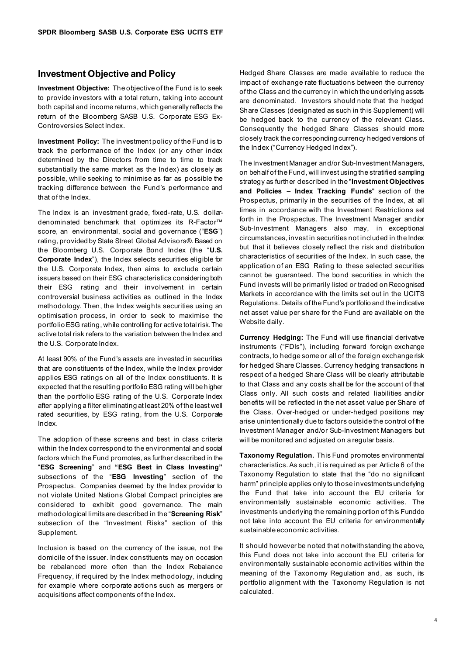#### **Investment Objective and Policy**

**Investment Objective:** The objective of the Fund is to seek to provide investors with a total return, taking into account both capital and income returns, which generally reflects the return of the Bloomberg SASB U.S. Corporate ESG Ex-Controversies Select Index.

**Investment Policy:** The investment policy of the Fund is to track the performance of the Index (or any other index determined by the Directors from time to time to track substantially the same market as the Index) as closely as possible, while seeking to minimise as far as possible the tracking difference between the Fund's performance and that of the Index.

The Index is an investment grade, fixed-rate, U.S. dollardenominated benchmark that optimizes its R-Factor™ score, an environmental, social and governance ("**ESG**") rating, provided by State Street Global Advisors®. Based on the Bloomberg U.S. Corporate Bond Index (the "**U.S. Corporate Index**"), the Index selects securities eligible for the U.S. Corporate Index, then aims to exclude certain issuers based on their ESG characteristics considering both their ESG rating and their involvement in certain controversial business activities as outlined in the Index methodology. Then, the Index weights securities using an optimisation process, in order to seek to maximise the portfolio ESG rating, while controlling for active total risk. The active total risk refers to the variation between the Index and the U.S. Corporate Index.

At least 90% of the Fund's assets are invested in securities that are constituents of the Index, while the Index provider applies ESG ratings on all of the Index constituents. It is expected that the resulting portfolio ESG rating will be higher than the portfolio ESG rating of the U.S. Corporate Index after applying a filter eliminating at least 20% of the least well rated securities, by ESG rating, from the U.S. Corporate Index.

The adoption of these screens and best in class criteria within the Index correspond to the environmental and social factors which the Fund promotes, as further described in the "**ESG Screening**" and **"ESG Best in Class Investing"** subsections of the "**ESG Investing**" section of the Prospectus. Companies deemed by the Index provider to not violate United Nations Global Compact principles are considered to exhibit good governance. The main methodological limits are described in the "**Screening Risk**" subsection of the "Investment Risks" section of this Supplement.

Inclusion is based on the currency of the issue, not the domicile of the issuer. Index constituents may on occasion be rebalanced more often than the Index Rebalance Frequency, if required by the Index methodology, including for example where corporate actions such as mergers or acquisitions affect components of the Index.

Hedged Share Classes are made available to reduce the impact of exchange rate fluctuations between the currency of the Class and the currency in which the underlying assets are denominated. Investors should note that the hedged Share Classes (designated as such in this Supplement) will be hedged back to the currency of the relevant Class. Consequently the hedged Share Classes should more closely track the corresponding currency hedged versions of the Index ("Currency Hedged Index").

The Investment Manager and/or Sub-Investment Managers, on behalf of the Fund, will invest using the stratified sampling strategy as further described in the "**Investment Objectives and Policies – Index Tracking Funds**" section of the Prospectus, primarily in the securities of the Index, at all times in accordance with the Investment Restrictions set forth in the Prospectus. The Investment Manager and/or Sub-Investment Managers also may, in exceptional circumstances, invest in securities not included in the Index but that it believes closely reflect the risk and distribution characteristics of securities of the Index. In such case, the application of an ESG Rating to these selected securities cannot be guaranteed. The bond securities in which the Fund invests will be primarily listed or traded on Recognised Markets in accordance with the limits set out in the UCITS Regulations. Details of the Fund's portfolio and the indicative net asset value per share for the Fund are available on the Website daily.

**Currency Hedging:** The Fund will use financial derivative instruments ("FDIs"), including forward foreign exchange contracts, to hedge some or all of the foreign exchange risk for hedged Share Classes. Currency hedging transactions in respect of a hedged Share Class will be clearly attributable to that Class and any costs shall be for the account of that Class only. All such costs and related liabilities and/or benefits will be reflected in the net asset value per Share of the Class. Over-hedged or under-hedged positions may arise unintentionally due to factors outside the control of the Investment Manager and/or Sub-Investment Managers but will be monitored and adjusted on a regular basis.

**Taxonomy Regulation.** This Fund promotes environmental characteristics. As such, it is required as per Article 6 of the Taxonomy Regulation to state that the "do no significant harm" principle applies only to those investments underlying the Fund that take into account the EU criteria for environmentally sustainable economic activities. The investments underlying the remaining portion of this Fund do not take into account the EU criteria for environmentally sustainable economic activities.

It should however be noted that notwithstanding the above, this Fund does not take into account the EU criteria for environmentally sustainable economic activities within the meaning of the Taxonomy Regulation and, as such, its portfolio alignment with the Taxonomy Regulation is not calculated.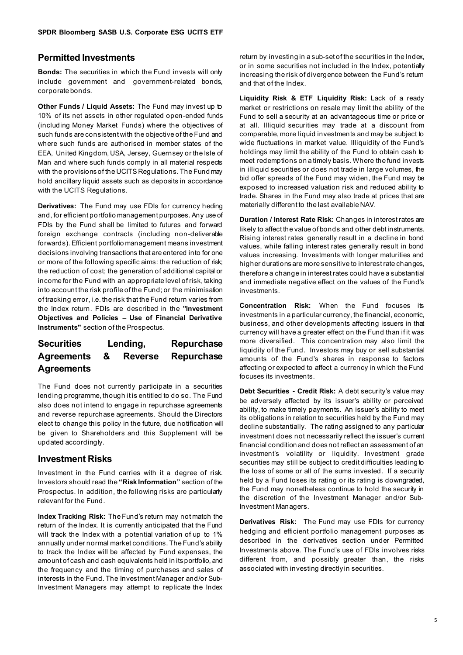## **Permitted Investments**

**Bonds:** The securities in which the Fund invests will only include government and government-related bonds, corporate bonds.

**Other Funds / Liquid Assets:** The Fund may invest up to 10% of its net assets in other regulated open-ended funds (including Money Market Funds) where the objectives of such funds are consistent with the objective of the Fund and where such funds are authorised in member states of the EEA, United Kingdom, USA, Jersey, Guernsey or the Isle of Man and where such funds comply in all material respects with the provisions of the UCITS Regulations. The Fund may hold ancillary liquid assets such as deposits in accordance with the UCITS Regulations.

**Derivatives:** The Fund may use FDIs for currency heding and, for efficient portfolio management purposes. Any use of FDIs by the Fund shall be limited to futures and forward foreign exchange contracts (including non-deliverable forwards). Efficient portfolio management means investment decisions involving transactions that are entered into for one or more of the following specific aims: the reduction of risk; the reduction of cost; the generation of additional capital or income for the Fund with an appropriate level of risk, taking into account the risk profile of the Fund; or the minimisation of tracking error, i.e. the risk that the Fund return varies from the Index return. FDIs are described in the **"Investment Objectives and Policies – Use of Financial Derivative Instruments"** section of the Prospectus.

## **Securities Lending, Repurchase Agreements & Reverse Repurchase Agreements**

The Fund does not currently participate in a securities lending programme, though it is entitled to do so. The Fund also does not intend to engage in repurchase agreements and reverse repurchase agreements. Should the Directors elect to change this policy in the future, due notification will be given to Shareholders and this Supplement will be updated accordingly.

## **Investment Risks**

Investment in the Fund carries with it a degree of risk. Investors should read the **"Risk Information"** section of the Prospectus. In addition, the following risks are particularly relevant for the Fund.

**Index Tracking Risk:** The Fund's return may not match the return of the Index. It is currently anticipated that the Fund will track the Index with a potential variation of up to 1% annually under normal market conditions. The Fund's ability to track the Index will be affected by Fund expenses, the amount of cash and cash equivalents held in its portfolio, and the frequency and the timing of purchases and sales of interests in the Fund. The Investment Manager and/or Sub-Investment Managers may attempt to replicate the Index

return by investing in a sub-set of the securities in the Index, or in some securities not included in the Index, potentially increasing the risk of divergence between the Fund's return and that of the Index.

**Liquidity Risk & ETF Liquidity Risk:** Lack of a ready market or restrictions on resale may limit the ability of the Fund to sell a security at an advantageous time or price or at all. Illiquid securities may trade at a discount from comparable, more liquid investments and may be subject to wide fluctuations in market value. Illiquidity of the Fund's holdings may limit the ability of the Fund to obtain cash to meet redemptions on a timely basis. Where the fund invests in illiquid securities or does not trade in large volumes, the bid offer spreads of the Fund may widen, the Fund may be exposed to increased valuation risk and reduced ability to trade. Shares in the Fund may also trade at prices that are materially different to the last available NAV.

**Duration / Interest Rate Risk:** Changes in interest rates are likely to affect the value of bonds and other debt instruments. Rising interest rates generally result in a decline in bond values, while falling interest rates generally result in bond values increasing. Investments with longer maturities and higher durations are more sensitive to interest rate changes, therefore a change in interest rates could have a substantial and immediate negative effect on the values of the Fund's investments.

**Concentration Risk:** When the Fund focuses its investments in a particular currency, the financial, economic, business, and other developments affecting issuers in that currency will have a greater effect on the Fund than if it was more diversified. This concentration may also limit the liquidity of the Fund. Investors may buy or sell substantial amounts of the Fund's shares in response to factors affecting or expected to affect a currency in which the Fund focuses its investments.

**Debt Securities - Credit Risk:** A debt security's value may be adversely affected by its issuer's ability or perceived ability, to make timely payments. An issuer's ability to meet its obligations in relation to securities held by the Fund may decline substantially. The rating assigned to any particular investment does not necessarily reflect the issuer's current financial condition and does not reflect an assessment of an investment's volatility or liquidity. Investment grade securities may still be subject to credit difficulties leading to the loss of some or all of the sums invested. If a security held by a Fund loses its rating or its rating is downgraded, the Fund may nonetheless continue to hold the security in the discretion of the Investment Manager and/or Sub-Investment Managers.

**Derivatives Risk:** The Fund may use FDIs for currency hedging and efficient portfolio management purposes as described in the derivatives section under Permitted Investments above. The Fund's use of FDIs involves risks different from, and possibly greater than, the risks associated with investing directly in securities.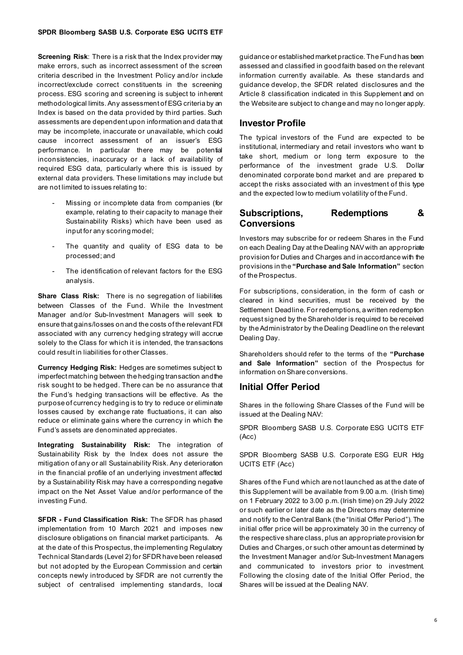**Screening Risk**: There is a risk that the Index provider may make errors, such as incorrect assessment of the screen criteria described in the Investment Policy and/or include incorrect/exclude correct constituents in the screening process. ESG scoring and screening is subject to inherent methodological limits. Any assessment of ESG criteria by an Index is based on the data provided by third parties. Such assessments are dependent upon information and data that may be incomplete, inaccurate or unavailable, which could cause incorrect assessment of an issuer's ESG performance. In particular there may be potential inconsistencies, inaccuracy or a lack of availability of required ESG data, particularly where this is issued by external data providers. These limitations may include but are not limited to issues relating to:

- Missing or incomplete data from companies (for example, relating to their capacity to manage their Sustainability Risks) which have been used as input for any scoring model;
- The quantity and quality of ESG data to be processed; and
- The identification of relevant factors for the ESG analysis.

**Share Class Risk:** There is no segregation of liabilities between Classes of the Fund. While the Investment Manager and/or Sub-Investment Managers will seek to ensure that gains/losses on and the costs of the relevant FDI associated with any currency hedging strategy will accrue solely to the Class for which it is intended, the transactions could result in liabilities for other Classes.

**Currency Hedging Risk:** Hedges are sometimes subject to imperfect matching between the hedging transaction and the risk sought to be hedged. There can be no assurance that the Fund's hedging transactions will be effective. As the purpose of currency hedging is to try to reduce or eliminate losses caused by exchange rate fluctuations, it can also reduce or eliminate gains where the currency in which the Fund's assets are denominated appreciates.

**Integrating Sustainability Risk:** The integration of Sustainability Risk by the Index does not assure the mitigation of any or all Sustainability Risk. Any deterioration in the financial profile of an underlying investment affected by a Sustainability Risk may have a corresponding negative impact on the Net Asset Value and/or performance of the investing Fund.

**SFDR - Fund Classification Risk:** The SFDR has phased implementation from 10 March 2021 and imposes new disclosure obligations on financial market participants. As at the date of this Prospectus, the implementing Regulatory Technical Standards (Level 2) for SFDR have been released but not adopted by the European Commission and certain concepts newly introduced by SFDR are not currently the subject of centralised implementing standards, local

guidance or established market practice. The Fund has been assessed and classified in good faith based on the relevant information currently available. As these standards and guidance develop, the SFDR related disclosures and the Article 8 classification indicated in this Supplement and on the Website are subject to change and may no longer apply.

## **Investor Profile**

The typical investors of the Fund are expected to be institutional, intermediary and retail investors who want to take short, medium or long term exposure to the performance of the investment grade U.S. Dollar denominated corporate bond market and are prepared to accept the risks associated with an investment of this type and the expected low to medium volatility of the Fund.

## **Subscriptions, Redemptions & Conversions**

Investors may subscribe for or redeem Shares in the Fund on each Dealing Day at the Dealing NAV with an appropriate provision for Duties and Charges and in accordance with the provisions in the **"Purchase and Sale Information"** section of the Prospectus.

For subscriptions, consideration, in the form of cash or cleared in kind securities, must be received by the Settlement Deadline. For redemptions, a written redemption request signed by the Shareholder is required to be received by the Administrator by the Dealing Deadline on the relevant Dealing Day.

Shareholders should refer to the terms of the **"Purchase and Sale Information"** section of the Prospectus for information on Share conversions.

## **Initial Offer Period**

Shares in the following Share Classes of the Fund will be issued at the Dealing NAV:

SPDR Bloomberg SASB U.S. Corporate ESG UCITS ETF (Acc)

SPDR Bloomberg SASB U.S. Corporate ESG EUR Hdg UCITS ETF (Acc)

Shares of the Fund which are not launched as at the date of this Supplement will be available from 9.00 a.m. (Irish time) on 1 February 2022 to 3.00 p.m. (Irish time) on 29 July 2022 or such earlier or later date as the Directors may determine and notify to the Central Bank (the "Initial Offer Period"). The initial offer price will be approximately 30 in the currency of the respective share class, plus an appropriate provision for Duties and Charges, or such other amount as determined by the Investment Manager and/or Sub-Investment Managers and communicated to investors prior to investment. Following the closing date of the Initial Offer Period, the Shares will be issued at the Dealing NAV.